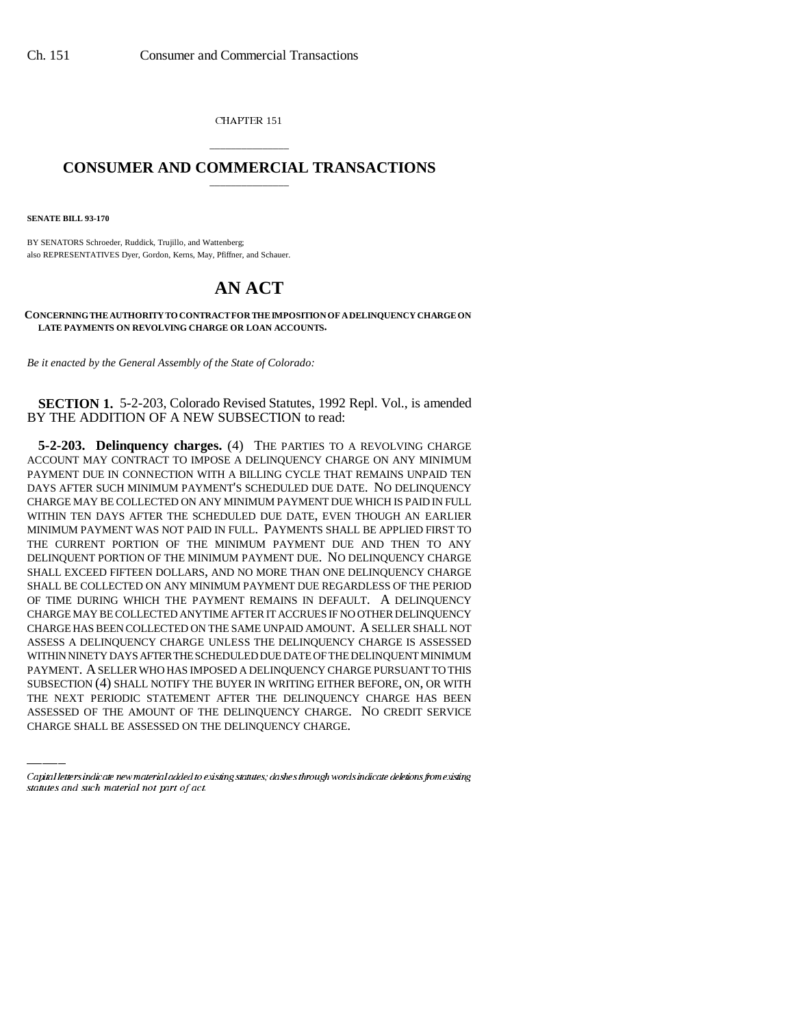CHAPTER 151

## \_\_\_\_\_\_\_\_\_\_\_\_\_\_\_ **CONSUMER AND COMMERCIAL TRANSACTIONS** \_\_\_\_\_\_\_\_\_\_\_\_\_\_\_

**SENATE BILL 93-170**

BY SENATORS Schroeder, Ruddick, Trujillo, and Wattenberg; also REPRESENTATIVES Dyer, Gordon, Kerns, May, Pfiffner, and Schauer.

## **AN ACT**

**CONCERNING THE AUTHORITY TO CONTRACT FOR THE IMPOSITION OF A DELINQUENCY CHARGE ON LATE PAYMENTS ON REVOLVING CHARGE OR LOAN ACCOUNTS.**

*Be it enacted by the General Assembly of the State of Colorado:*

**SECTION 1.** 5-2-203, Colorado Revised Statutes, 1992 Repl. Vol., is amended BY THE ADDITION OF A NEW SUBSECTION to read:

PAYMENT. A SELLER WHO HAS IMPOSED A DELINQUENCY CHARGE PURSUANT TO THIS **5-2-203. Delinquency charges.** (4) THE PARTIES TO A REVOLVING CHARGE ACCOUNT MAY CONTRACT TO IMPOSE A DELINQUENCY CHARGE ON ANY MINIMUM PAYMENT DUE IN CONNECTION WITH A BILLING CYCLE THAT REMAINS UNPAID TEN DAYS AFTER SUCH MINIMUM PAYMENT'S SCHEDULED DUE DATE. NO DELINQUENCY CHARGE MAY BE COLLECTED ON ANY MINIMUM PAYMENT DUE WHICH IS PAID IN FULL WITHIN TEN DAYS AFTER THE SCHEDULED DUE DATE, EVEN THOUGH AN EARLIER MINIMUM PAYMENT WAS NOT PAID IN FULL. PAYMENTS SHALL BE APPLIED FIRST TO THE CURRENT PORTION OF THE MINIMUM PAYMENT DUE AND THEN TO ANY DELINQUENT PORTION OF THE MINIMUM PAYMENT DUE. NO DELINQUENCY CHARGE SHALL EXCEED FIFTEEN DOLLARS, AND NO MORE THAN ONE DELINQUENCY CHARGE SHALL BE COLLECTED ON ANY MINIMUM PAYMENT DUE REGARDLESS OF THE PERIOD OF TIME DURING WHICH THE PAYMENT REMAINS IN DEFAULT. A DELINQUENCY CHARGE MAY BE COLLECTED ANYTIME AFTER IT ACCRUES IF NO OTHER DELINQUENCY CHARGE HAS BEEN COLLECTED ON THE SAME UNPAID AMOUNT. A SELLER SHALL NOT ASSESS A DELINQUENCY CHARGE UNLESS THE DELINQUENCY CHARGE IS ASSESSED WITHIN NINETY DAYS AFTER THE SCHEDULED DUE DATE OF THE DELINQUENT MINIMUM SUBSECTION (4) SHALL NOTIFY THE BUYER IN WRITING EITHER BEFORE, ON, OR WITH THE NEXT PERIODIC STATEMENT AFTER THE DELINQUENCY CHARGE HAS BEEN ASSESSED OF THE AMOUNT OF THE DELINQUENCY CHARGE. NO CREDIT SERVICE CHARGE SHALL BE ASSESSED ON THE DELINQUENCY CHARGE.

Capital letters indicate new material added to existing statutes; dashes through words indicate deletions from existing statutes and such material not part of act.